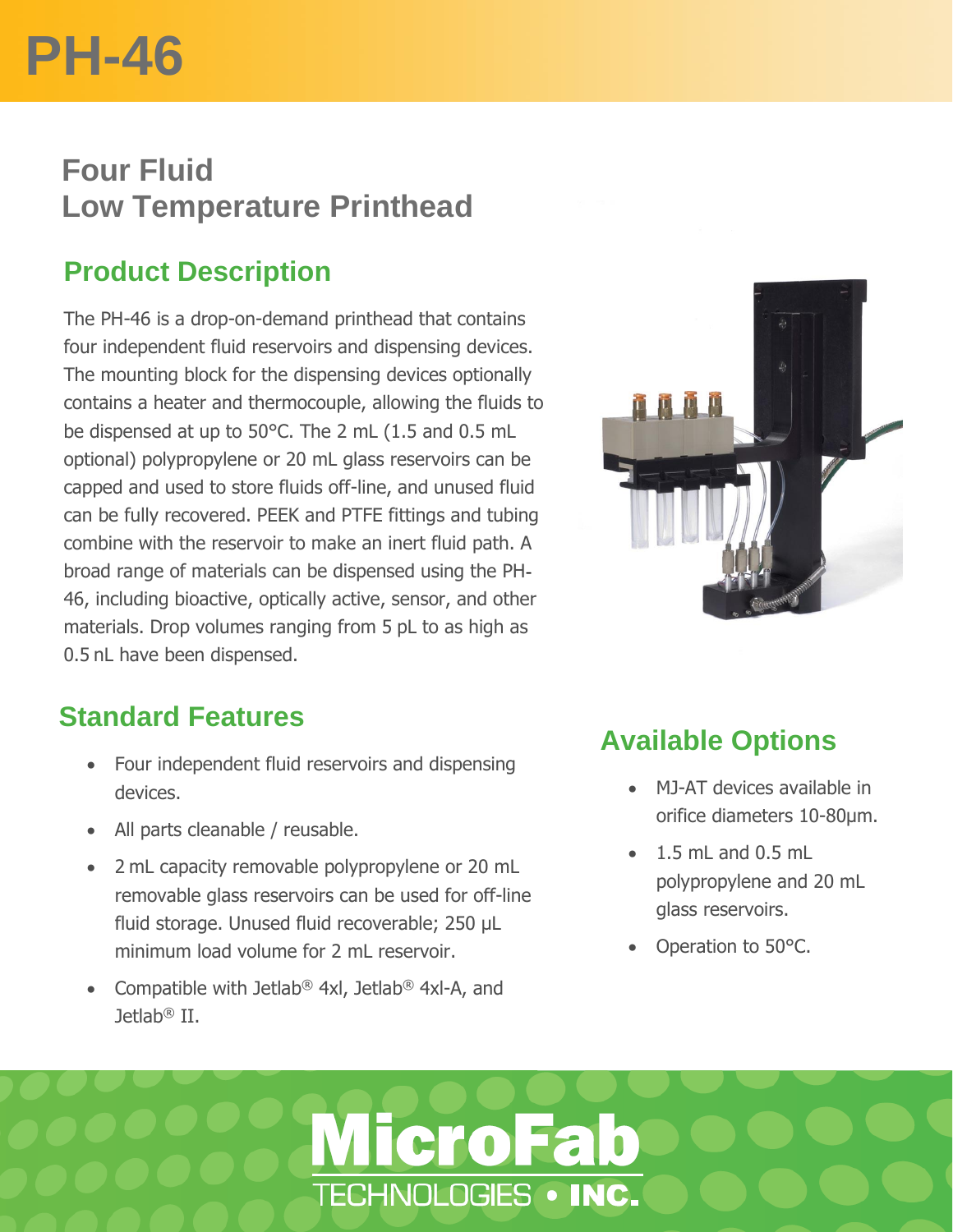# **PH-46**

## **Four Fluid Low Temperature Printhead**

## **Product Description**

The PH-46 is a drop-on-demand printhead that contains four independent fluid reservoirs and dispensing devices. The mounting block for the dispensing devices optionally contains a heater and thermocouple, allowing the fluids to be dispensed at up to 50°C. The 2 mL (1.5 and 0.5 mL optional) polypropylene or 20 mL glass reservoirs can be capped and used to store fluids off-line, and unused fluid can be fully recovered. PEEK and PTFE fittings and tubing combine with the reservoir to make an inert fluid path. A broad range of materials can be dispensed using the PH-46, including bioactive, optically active, sensor, and other materials. Drop volumes ranging from 5 pL to as high as 0.5 nL have been dispensed.

### **Standard Features**

- Four independent fluid reservoirs and dispensing devices.
- All parts cleanable / reusable.
- 2 mL capacity removable polypropylene or 20 mL removable glass reservoirs can be used for off-line fluid storage. Unused fluid recoverable; 250 µL minimum load volume for 2 mL reservoir.
- Compatible with Jetlab® 4xl, Jetlab® 4xl-A, and Jetlab® II.

**MicroFab** 

TECHNOLOGIES . INC.



## **Available Options**

- MJ-AT devices available in orifice diameters 10-80µm.
- $\bullet$  1.5 mL and 0.5 mL polypropylene and 20 mL glass reservoirs.
- Operation to 50°C.